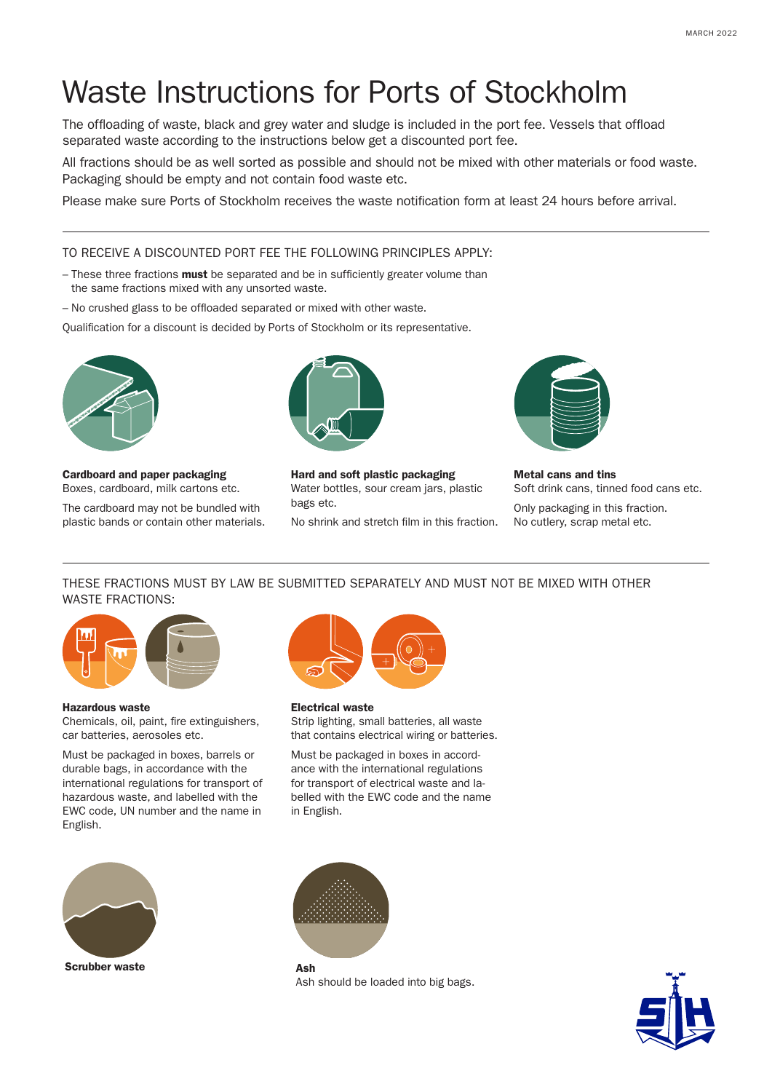# Waste Instructions for Ports of Stockholm

The offloading of waste, black and grey water and sludge is included in the port fee. Vessels that offload separated waste according to the instructions below get a discounted port fee.

All fractions should be as well sorted as possible and should not be mixed with other materials or food waste. Packaging should be empty and not contain food waste etc.

Please make sure Ports of Stockholm receives the waste notification form at least 24 hours before arrival.

#### TO RECEIVE A DISCOUNTED PORT FEE THE FOLLOWING PRINCIPLES APPLY:

- These three fractions **must** be separated and be in sufficiently greater volume than the same fractions mixed with any unsorted waste.
- No crushed glass to be offloaded separated or mixed with other waste.

Qualification for a discount is decided by Ports of Stockholm or its representative.



Cardboard and paper packaging Boxes, cardboard, milk cartons etc.

The cardboard may not be bundled with plastic bands or contain other materials.



Hard and soft plastic packaging Water bottles, sour cream jars, plastic bags etc.

No shrink and stretch film in this fraction.



Metal cans and tins Soft drink cans, tinned food cans etc. Only packaging in this fraction. No cutlery, scrap metal etc.

## THESE FRACTIONS MUST BY LAW BE SUBMITTED SEPARATELY AND MUST NOT BE MIXED WITH OTHER WASTE FRACTIONS:



Hazardous waste Chemicals, oil, paint, fire extinguishers, car batteries, aerosoles etc.

Must be packaged in boxes, barrels or durable bags, in accordance with the international regulations for transport of hazardous waste, and labelled with the EWC code, UN number and the name in English.



Electrical waste Strip lighting, small batteries, all waste that contains electrical wiring or batteries.

Must be packaged in boxes in accordance with the international regulations for transport of electrical waste and labelled with the EWC code and the name in English.



Scrubber waste



Ash Ash should be loaded into big bags.